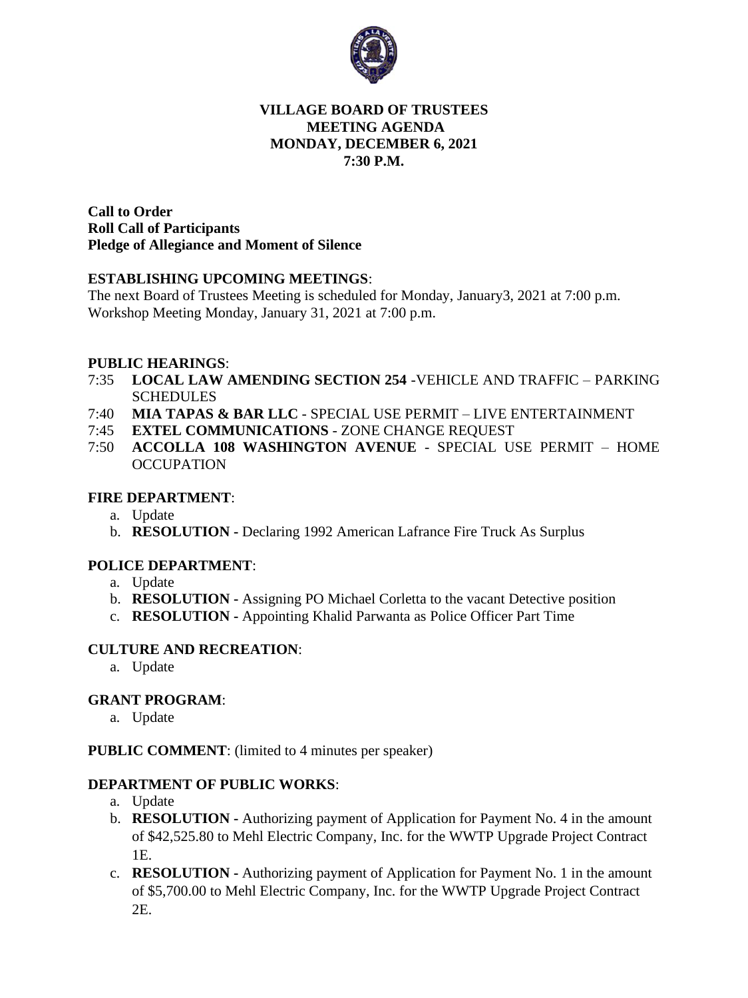

### **VILLAGE BOARD OF TRUSTEES MEETING AGENDA MONDAY, DECEMBER 6, 2021 7:30 P.M.**

**Call to Order Roll Call of Participants Pledge of Allegiance and Moment of Silence** 

### **ESTABLISHING UPCOMING MEETINGS**:

The next Board of Trustees Meeting is scheduled for Monday, January3, 2021 at 7:00 p.m. Workshop Meeting Monday, January 31, 2021 at 7:00 p.m.

### **PUBLIC HEARINGS**:

- 7:35 **LOCAL LAW AMENDING SECTION 254** -VEHICLE AND TRAFFIC PARKING SCHEDULES
- 7:40 **MIA TAPAS & BAR LLC** SPECIAL USE PERMIT LIVE ENTERTAINMENT
- 7:45 **EXTEL COMMUNICATIONS** ZONE CHANGE REQUEST
- 7:50 **ACCOLLA 108 WASHINGTON AVENUE** SPECIAL USE PERMIT HOME **OCCUPATION**

#### **FIRE DEPARTMENT**:

- a. Update
- b. **RESOLUTION -** Declaring 1992 American Lafrance Fire Truck As Surplus

#### **POLICE DEPARTMENT**:

- a. Update
- b. **RESOLUTION -** Assigning PO Michael Corletta to the vacant Detective position
- c. **RESOLUTION -** Appointing Khalid Parwanta as Police Officer Part Time

#### **CULTURE AND RECREATION**:

a. Update

### **GRANT PROGRAM**:

a. Update

#### **PUBLIC COMMENT**: (limited to 4 minutes per speaker)

### **DEPARTMENT OF PUBLIC WORKS**:

- a. Update
- b. **RESOLUTION -** Authorizing payment of Application for Payment No. 4 in the amount of \$42,525.80 to Mehl Electric Company, Inc. for the WWTP Upgrade Project Contract 1E.
- c. **RESOLUTION -** Authorizing payment of Application for Payment No. 1 in the amount of \$5,700.00 to Mehl Electric Company, Inc. for the WWTP Upgrade Project Contract 2E.